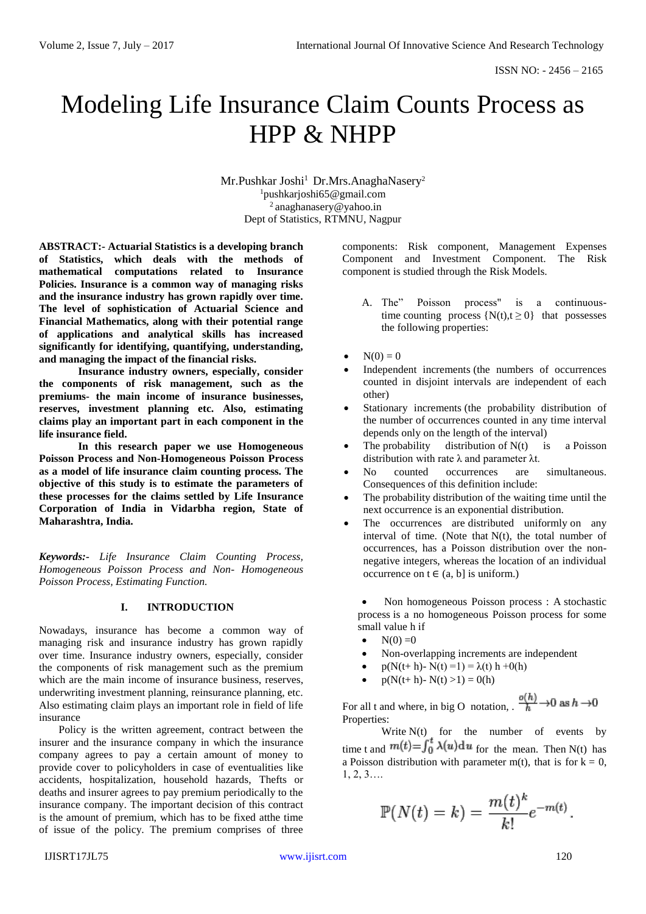# Modeling Life Insurance Claim Counts Process as HPP & NHPP

Mr.Pushkar Joshi<sup>1</sup> Dr.Mrs.AnaghaNasery<sup>2</sup> <sup>1</sup>pushkarjoshi65@gmail.com 2 [anaghanasery@yahoo.in](mailto:anaghanasery@yahoo.in) Dept of Statistics, RTMNU, Nagpur

**ABSTRACT:- Actuarial Statistics is a developing branch of Statistics, which deals with the methods of mathematical computations related to Insurance Policies. Insurance is a common way of managing risks and the insurance industry has grown rapidly over time. The level of sophistication of Actuarial Science and Financial Mathematics, along with their potential range of applications and analytical skills has increased significantly for identifying, quantifying, understanding, and managing the impact of the financial risks.** 

**Insurance industry owners, especially, consider the components of risk management, such as the premiums- the main income of insurance businesses, reserves, investment planning etc. Also, estimating claims play an important part in each component in the life insurance field.**

**In this research paper we use Homogeneous Poisson Process and Non-Homogeneous Poisson Process as a model of life insurance claim counting process. The objective of this study is to estimate the parameters of these processes for the claims settled by Life Insurance Corporation of India in Vidarbha region, State of Maharashtra, India.**

*Keywords:- Life Insurance Claim Counting Process, Homogeneous Poisson Process and Non- Homogeneous Poisson Process, Estimating Function.*

#### **I. INTRODUCTION**

Nowadays, insurance has become a common way of managing risk and insurance industry has grown rapidly over time. Insurance industry owners, especially, consider the components of risk management such as the premium which are the main income of insurance business, reserves, underwriting investment planning, reinsurance planning, etc. Also estimating claim plays an important role in field of life insurance

Policy is the written agreement, contract between the insurer and the insurance company in which the insurance company agrees to pay a certain amount of money to provide cover to policyholders in case of eventualities like accidents, hospitalization, household hazards, Thefts or deaths and insurer agrees to pay premium periodically to the insurance company. The important decision of this contract is the amount of premium, which has to be fixed atthe time of issue of the policy. The premium comprises of three

components: Risk component, Management Expenses Component and Investment Component. The Risk component is studied through the Risk Models.

- A. The" Poisson process" is a continuoustime [counting process](http://en.wikipedia.org/wiki/Counting_process)  $\{N(t), t \ge 0\}$  that possesses the following properties:
- $N(0) = 0$
- [Independent increments](http://en.wikipedia.org/wiki/Independent_increments) (the numbers of occurrences counted in disjoint intervals are independent of each other)
- [Stationary increments](http://en.wikipedia.org/wiki/Stationary_increments) (the probability distribution of the number of occurrences counted in any time interval depends only on the length of the interval)
- The [probability distribution](http://en.wikipedia.org/wiki/Probability_distribution) of  $N(t)$  is a Poisson [distribution](http://en.wikipedia.org/wiki/Poisson_distribution) with rate  $\lambda$  and parameter  $\lambda t$ .
- No counted occurrences are simultaneous. Consequences of this definition include:
- The probability distribution of the waiting time until the next occurrence is an [exponential distribution.](http://en.wikipedia.org/wiki/Exponential_distribution)
- The occurrences are [distributed uniformly](http://en.wikipedia.org/wiki/Uniform_distribution_(continuous)) on any interval of time. (Note that  $N(t)$ , the total number of occurrences, has a Poisson distribution over the nonnegative integers, whereas the location of an individual occurrence on  $t \in (a, b]$  is uniform.)

 Non homogeneous Poisson process : A [stochastic](http://en.wikipedia.org/wiki/Stochastic_process)  [process](http://en.wikipedia.org/wiki/Stochastic_process) is a no homogeneous Poisson process for some small value h if

- $N(0) = 0$
- Non-overlapping increments are independent
- p(N(t+ h)- N(t) = 1) =  $\lambda$ (t) h +0(h)
- $p(N(t+h)-N(t) >1) = 0(h)$

For all t and where, in [big O notation,](http://en.wikipedia.org/wiki/Big_o_notation) .  $\frac{o(h)}{h} \rightarrow 0$  as  $h \rightarrow 0$ Properties:

Write  $N(t)$  for the number of events by time t and  $m(t) = \int_0^t \lambda(u) \, du$  for the mean. Then N(t) has a [Poisson distribution](http://en.wikipedia.org/wiki/Poisson_distribution) with parameter m(t), that is for  $k = 0$ , 1, 2, 3….

$$
\mathbb{P}(N(t) = k) = \frac{m(t)^k}{k!}e^{-m(t)}.
$$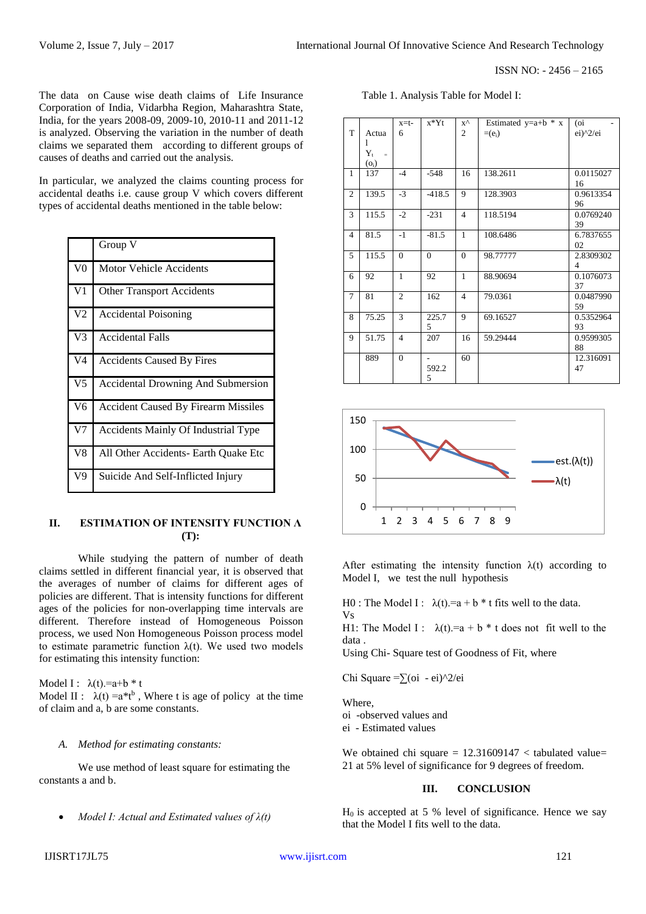ISSN NO: - 2456 – 2165

The data on Cause wise death claims of Life Insurance Corporation of India, Vidarbha Region, Maharashtra State, India, for the years 2008-09, 2009-10, 2010-11 and 2011-12 is analyzed. Observing the variation in the number of death claims we separated them according to different groups of causes of deaths and carried out the analysis.

In particular, we analyzed the claims counting process for accidental deaths i.e. cause group V which covers different types of accidental deaths mentioned in the table below:

|                  | Group V                                    |
|------------------|--------------------------------------------|
| V <sub>0</sub>   | <b>Motor Vehicle Accidents</b>             |
| V <sub>1</sub>   | <b>Other Transport Accidents</b>           |
| V <sub>2</sub>   | Accidental Poisoning                       |
| $\overline{v}$ 3 | <b>Accidental Falls</b>                    |
| V <sub>4</sub>   | <b>Accidents Caused By Fires</b>           |
| V <sub>5</sub>   | <b>Accidental Drowning And Submersion</b>  |
| V <sub>6</sub>   | <b>Accident Caused By Firearm Missiles</b> |
| V <sub>7</sub>   | <b>Accidents Mainly Of Industrial Type</b> |
| V8               | All Other Accidents- Earth Quake Etc       |
| $\overline{V9}$  | Suicide And Self-Inflicted Injury          |

## **II. ESTIMATION OF INTENSITY FUNCTION Λ (T):**

While studying the pattern of number of death claims settled in different financial year, it is observed that the averages of number of claims for different ages of policies are different. That is intensity functions for different ages of the policies for non-overlapping time intervals are different. Therefore instead of Homogeneous Poisson process, we used Non Homogeneous Poisson process model to estimate parametric function λ(t). We used two models for estimating this intensity function:

Model I:  $\lambda(t) = a+b * t$ Model II :  $\lambda(t) = a*t^b$ , Where t is age of policy at the time of claim and a, b are some constants.

#### *A. Method for estimating constants:*

We use method of least square for estimating the constants a and b.

*Model I: Actual and Estimated values of λ(t)*

| Table 1. Analysis Table for Model I: |  |  |
|--------------------------------------|--|--|
|--------------------------------------|--|--|

|                 |                     | $x=t-$         | $x^*Yt$  | $x^{\wedge}$   | Estimated $y=a+b * x$ | (oi                                        |
|-----------------|---------------------|----------------|----------|----------------|-----------------------|--------------------------------------------|
| T               | Actua               | 6              |          | 2              | $=(e_i)$              | $ei)$ <sup><math>\frac{2}{ei}</math></sup> |
|                 | 1                   |                |          |                |                       |                                            |
|                 | $Y_{t}$<br>$\equiv$ |                |          |                |                       |                                            |
|                 | $(o_i)$             |                |          |                |                       |                                            |
| 1               | 137                 | $-4$           | $-548$   | 16             | 138.2611              | 0.0115027                                  |
|                 |                     |                |          |                |                       | 16                                         |
| $\overline{c}$  | 139.5               | $-3$           | $-418.5$ | 9              | 128.3903              | 0.9613354                                  |
|                 |                     |                |          |                |                       | 96                                         |
| 3               | 115.5               | $-2$           | $-231$   | $\overline{4}$ | 118.5194              | 0.0769240                                  |
|                 |                     |                |          |                |                       | 39                                         |
| $\overline{4}$  | 81.5                | $-1$           | $-81.5$  | $\mathbf{1}$   | 108.6486              | 6.7837655                                  |
|                 |                     |                |          |                |                       | 02                                         |
| 5               | 115.5               | $\mathbf{0}$   | $\Omega$ | $\theta$       | 98.77777              | 2.8309302                                  |
|                 |                     |                |          |                |                       | 4                                          |
| 6               | 92                  | $\mathbf{1}$   | 92       | $\mathbf{1}$   | 88.90694              | 0.1076073                                  |
|                 |                     |                |          |                |                       | 37                                         |
| $7\phantom{.0}$ | 81                  | $\overline{c}$ | 162      | $\overline{4}$ | 79.0361               | 0.0487990                                  |
|                 |                     |                |          |                |                       | 59                                         |
| 8               | 75.25               | 3              | 225.7    | 9              | 69.16527              | 0.5352964                                  |
|                 |                     |                | 5        |                |                       | 93                                         |
| 9               | 51.75               | $\overline{4}$ | 207      | 16             | 59.29444              | 0.9599305                                  |
|                 |                     |                |          |                |                       | 88                                         |
|                 | 889                 | $\mathbf{0}$   | ۰        | 60             |                       | 12.316091                                  |
|                 |                     |                | 592.2    |                |                       | 47                                         |
|                 |                     |                | 5        |                |                       |                                            |



After estimating the intensity function  $\lambda(t)$  according to Model I, we test the null hypothesis

H0 : The Model I :  $\lambda(t) = a + b * t$  fits well to the data. Vs H1: The Model I:  $\lambda(t) = a + b * t$  does not fit well to the data .

Using Chi- Square test of Goodness of Fit, where

Chi Square = $\sum$ (oi - ei)^2/ei

**Where** oi -observed values and ei - Estimated values

We obtained chi square  $= 12.31609147 <$  tabulated value= 21 at 5% level of significance for 9 degrees of freedom.

## **III. CONCLUSION**

 $H_0$  is accepted at 5 % level of significance. Hence we say that the Model I fits well to the data.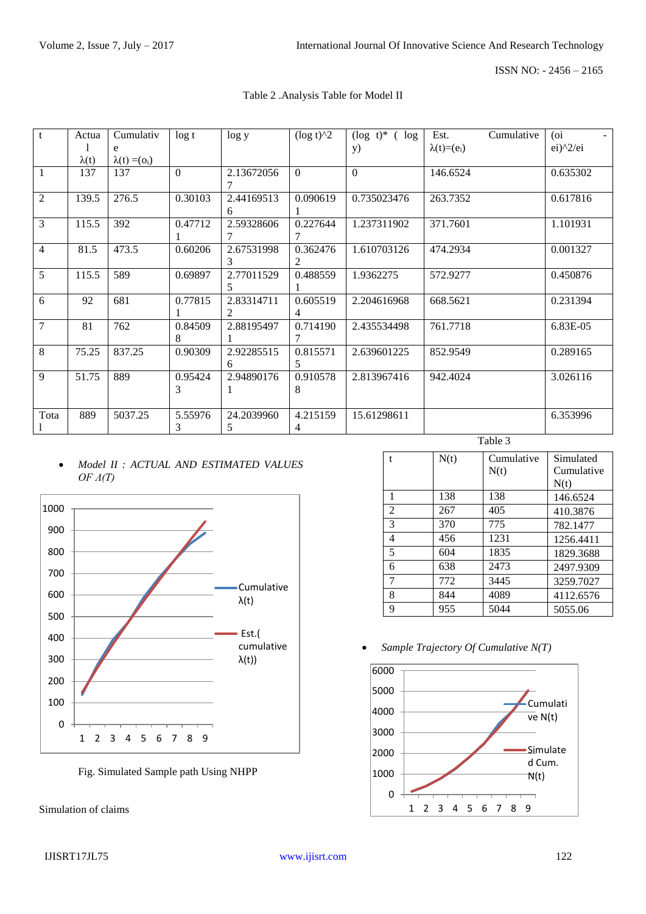ISSN NO: - 2456 – 2165

| Table 2 .Analysis Table for Model II |  |  |
|--------------------------------------|--|--|
|                                      |  |  |

| $\mathbf{t}$   | Actua        | Cumulativ            | $\log t$ | log y      | $(\log t)^{2}$ | $(\log t)^*$ (<br>log | Est.<br>Cumulative  | (o <sub>i</sub> ) |
|----------------|--------------|----------------------|----------|------------|----------------|-----------------------|---------------------|-------------------|
|                |              | e                    |          |            |                | y)                    | $\lambda(t)= (e_i)$ | $ei)^2/ei$        |
|                | $\lambda(t)$ | $\lambda(t) = (o_i)$ |          |            |                |                       |                     |                   |
| 1              | 137          | 137                  | $\Omega$ | 2.13672056 | $\mathbf{0}$   | $\Omega$              | 146.6524            | 0.635302          |
|                |              |                      |          |            |                |                       |                     |                   |
| 2              | 139.5        | 276.5                | 0.30103  | 2.44169513 | 0.090619       | 0.735023476           | 263.7352            | 0.617816          |
|                |              |                      |          | 6          |                |                       |                     |                   |
| 3              | 115.5        | 392                  | 0.47712  | 2.59328606 | 0.227644       | 1.237311902           | 371.7601            | 1.101931          |
|                |              |                      |          |            |                |                       |                     |                   |
| $\overline{4}$ | 81.5         | 473.5                | 0.60206  | 2.67531998 | 0.362476       | 1.610703126           | 474.2934            | 0.001327          |
|                |              |                      |          | 3          |                |                       |                     |                   |
| 5              | 115.5        | 589                  | 0.69897  | 2.77011529 | 0.488559       | 1.9362275             | 572.9277            | 0.450876          |
|                |              |                      |          | 5.         |                |                       |                     |                   |
| 6              | 92           | 681                  | 0.77815  | 2.83314711 | 0.605519       | 2.204616968           | 668.5621            | 0.231394          |
|                |              |                      |          | 2.         |                |                       |                     |                   |
| $\overline{7}$ | 81           | 762                  | 0.84509  | 2.88195497 | 0.714190       | 2.435534498           | 761.7718            | 6.83E-05          |
|                |              |                      | 8        |            |                |                       |                     |                   |
| 8              | 75.25        | 837.25               | 0.90309  | 2.92285515 | 0.815571       | 2.639601225           | 852.9549            | 0.289165          |
|                |              |                      |          | 6          | 5.             |                       |                     |                   |
| 9              | 51.75        | 889                  | 0.95424  | 2.94890176 | 0.910578       | 2.813967416           | 942.4024            | 3.026116          |
|                |              |                      | 3        | 1          | 8              |                       |                     |                   |
|                |              |                      |          |            |                |                       |                     |                   |
| Tota           | 889          | 5037.25              | 5.55976  | 24.2039960 | 4.215159       | 15.61298611           |                     | 6.353996          |
|                |              |                      | 3        | 5          | 4              |                       |                     |                   |

### *Model II : ACTUAL AND ESTIMATED VALUES OF Λ(T)*



Fig. Simulated Sample path Using NHPP

Simulation of claims

| ante |
|------|
|------|

| $\mathbf{f}$   | N(t) | Cumulative<br>N(t) | Simulated<br>Cumulative<br>N(t) |
|----------------|------|--------------------|---------------------------------|
| 1              | 138  | 138                | 146.6524                        |
| $\mathfrak{D}$ | 267  | 405                | 410.3876                        |
| 3              | 370  | 775                | 782.1477                        |
| 4              | 456  | 1231               | 1256.4411                       |
| 5              | 604  | 1835               | 1829.3688                       |
| 6              | 638  | 2473               | 2497.9309                       |
| 7              | 772  | 3445               | 3259.7027                       |
| 8              | 844  | 4089               | 4112.6576                       |
| 9              | 955  | 5044               | 5055.06                         |

*Sample Trajectory Of Cumulative N(T)*